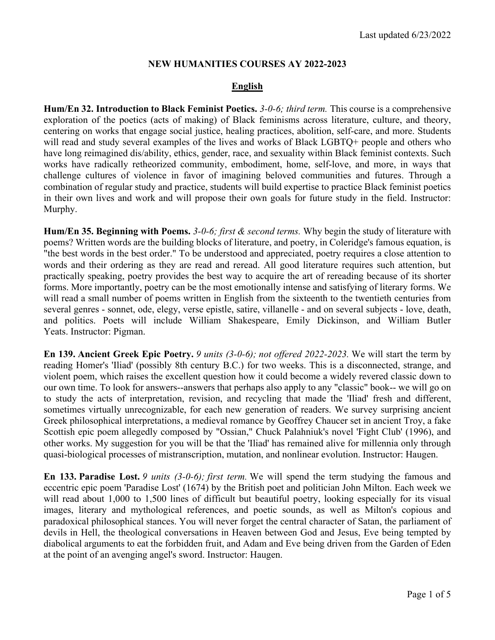## **NEW HUMANITIES COURSES AY 2022-2023**

## **English**

**Hum/En 32. Introduction to Black Feminist Poetics.** *3-0-6; third term.* This course is a comprehensive exploration of the poetics (acts of making) of Black feminisms across literature, culture, and theory, centering on works that engage social justice, healing practices, abolition, self-care, and more. Students will read and study several examples of the lives and works of Black LGBTQ+ people and others who have long reimagined dis/ability, ethics, gender, race, and sexuality within Black feminist contexts. Such works have radically retheorized community, embodiment, home, self-love, and more, in ways that challenge cultures of violence in favor of imagining beloved communities and futures. Through a combination of regular study and practice, students will build expertise to practice Black feminist poetics in their own lives and work and will propose their own goals for future study in the field. Instructor: Murphy.

**Hum/En 35. Beginning with Poems.** *3-0-6; first & second terms.* Why begin the study of literature with poems? Written words are the building blocks of literature, and poetry, in Coleridge's famous equation, is "the best words in the best order." To be understood and appreciated, poetry requires a close attention to words and their ordering as they are read and reread. All good literature requires such attention, but practically speaking, poetry provides the best way to acquire the art of rereading because of its shorter forms. More importantly, poetry can be the most emotionally intense and satisfying of literary forms. We will read a small number of poems written in English from the sixteenth to the twentieth centuries from several genres - sonnet, ode, elegy, verse epistle, satire, villanelle - and on several subjects - love, death, and politics. Poets will include William Shakespeare, Emily Dickinson, and William Butler Yeats. Instructor: Pigman.

**En 139. Ancient Greek Epic Poetry.** *9 units (3-0-6); not offered 2022-2023.* We will start the term by reading Homer's 'Iliad' (possibly 8th century B.C.) for two weeks. This is a disconnected, strange, and violent poem, which raises the excellent question how it could become a widely revered classic down to our own time. To look for answers--answers that perhaps also apply to any "classic" book-- we will go on to study the acts of interpretation, revision, and recycling that made the 'Iliad' fresh and different, sometimes virtually unrecognizable, for each new generation of readers. We survey surprising ancient Greek philosophical interpretations, a medieval romance by Geoffrey Chaucer set in ancient Troy, a fake Scottish epic poem allegedly composed by "Ossian," Chuck Palahniuk's novel 'Fight Club' (1996), and other works. My suggestion for you will be that the 'Iliad' has remained alive for millennia only through quasi-biological processes of mistranscription, mutation, and nonlinear evolution. Instructor: Haugen.

**En 133. Paradise Lost.** *9 units (3-0-6); first term.* We will spend the term studying the famous and eccentric epic poem 'Paradise Lost' (1674) by the British poet and politician John Milton. Each week we will read about 1,000 to 1,500 lines of difficult but beautiful poetry, looking especially for its visual images, literary and mythological references, and poetic sounds, as well as Milton's copious and paradoxical philosophical stances. You will never forget the central character of Satan, the parliament of devils in Hell, the theological conversations in Heaven between God and Jesus, Eve being tempted by diabolical arguments to eat the forbidden fruit, and Adam and Eve being driven from the Garden of Eden at the point of an avenging angel's sword. Instructor: Haugen.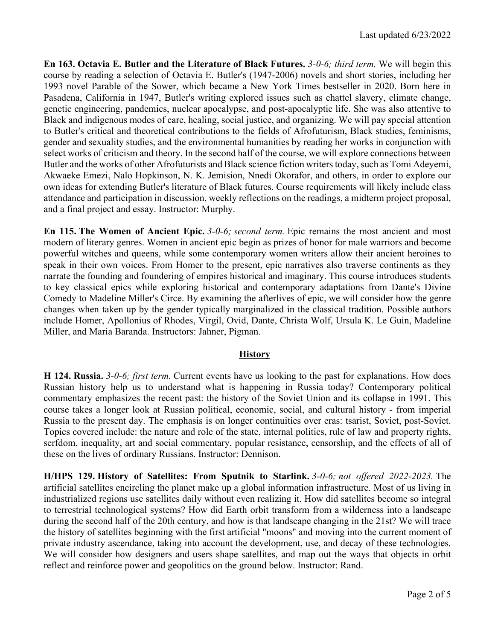**En 163. Octavia E. Butler and the Literature of Black Futures.** *3-0-6; third term.* We will begin this course by reading a selection of Octavia E. Butler's (1947-2006) novels and short stories, including her 1993 novel Parable of the Sower, which became a New York Times bestseller in 2020. Born here in Pasadena, California in 1947, Butler's writing explored issues such as chattel slavery, climate change, genetic engineering, pandemics, nuclear apocalypse, and post-apocalyptic life. She was also attentive to Black and indigenous modes of care, healing, social justice, and organizing. We will pay special attention to Butler's critical and theoretical contributions to the fields of Afrofuturism, Black studies, feminisms, gender and sexuality studies, and the environmental humanities by reading her works in conjunction with select works of criticism and theory. In the second half of the course, we will explore connections between Butler and the works of other Afrofuturists and Black science fiction writers today, such as Tomi Adeyemi, Akwaeke Emezi, Nalo Hopkinson, N. K. Jemision, Nnedi Okorafor, and others, in order to explore our own ideas for extending Butler's literature of Black futures. Course requirements will likely include class attendance and participation in discussion, weekly reflections on the readings, a midterm project proposal, and a final project and essay. Instructor: Murphy.

**En 115. The Women of Ancient Epic.** *3-0-6; second term.* Epic remains the most ancient and most modern of literary genres. Women in ancient epic begin as prizes of honor for male warriors and become powerful witches and queens, while some contemporary women writers allow their ancient heroines to speak in their own voices. From Homer to the present, epic narratives also traverse continents as they narrate the founding and foundering of empires historical and imaginary. This course introduces students to key classical epics while exploring historical and contemporary adaptations from Dante's Divine Comedy to Madeline Miller's Circe. By examining the afterlives of epic, we will consider how the genre changes when taken up by the gender typically marginalized in the classical tradition. Possible authors include Homer, Apollonius of Rhodes, Virgil, Ovid, Dante, Christa Wolf, Ursula K. Le Guin, Madeline Miller, and Maria Baranda. Instructors: Jahner, Pigman.

# **History**

**H 124. Russia.** *3-0-6; first term.* Current events have us looking to the past for explanations. How does Russian history help us to understand what is happening in Russia today? Contemporary political commentary emphasizes the recent past: the history of the Soviet Union and its collapse in 1991. This course takes a longer look at Russian political, economic, social, and cultural history - from imperial Russia to the present day. The emphasis is on longer continuities over eras: tsarist, Soviet, post-Soviet. Topics covered include: the nature and role of the state, internal politics, rule of law and property rights, serfdom, inequality, art and social commentary, popular resistance, censorship, and the effects of all of these on the lives of ordinary Russians. Instructor: Dennison.

**H/HPS 129. History of Satellites: From Sputnik to Starlink.** *3-0-6; not offered 2022-2023.* The artificial satellites encircling the planet make up a global information infrastructure. Most of us living in industrialized regions use satellites daily without even realizing it. How did satellites become so integral to terrestrial technological systems? How did Earth orbit transform from a wilderness into a landscape during the second half of the 20th century, and how is that landscape changing in the 21st? We will trace the history of satellites beginning with the first artificial "moons" and moving into the current moment of private industry ascendance, taking into account the development, use, and decay of these technologies. We will consider how designers and users shape satellites, and map out the ways that objects in orbit reflect and reinforce power and geopolitics on the ground below. Instructor: Rand.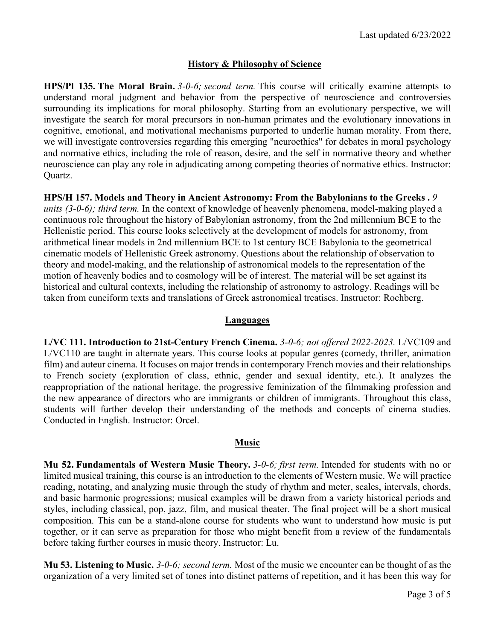### **History & Philosophy of Science**

**HPS/Pl 135. The Moral Brain.** *3-0-6; second term.* This course will critically examine attempts to understand moral judgment and behavior from the perspective of neuroscience and controversies surrounding its implications for moral philosophy. Starting from an evolutionary perspective, we will investigate the search for moral precursors in non-human primates and the evolutionary innovations in cognitive, emotional, and motivational mechanisms purported to underlie human morality. From there, we will investigate controversies regarding this emerging "neuroethics" for debates in moral psychology and normative ethics, including the role of reason, desire, and the self in normative theory and whether neuroscience can play any role in adjudicating among competing theories of normative ethics. Instructor: Quartz.

**HPS/H 157. Models and Theory in Ancient Astronomy: From the Babylonians to the Greeks .** *9 units (3-0-6); third term.* In the context of knowledge of heavenly phenomena, model-making played a continuous role throughout the history of Babylonian astronomy, from the 2nd millennium BCE to the Hellenistic period. This course looks selectively at the development of models for astronomy, from arithmetical linear models in 2nd millennium BCE to 1st century BCE Babylonia to the geometrical cinematic models of Hellenistic Greek astronomy. Questions about the relationship of observation to theory and model-making, and the relationship of astronomical models to the representation of the motion of heavenly bodies and to cosmology will be of interest. The material will be set against its historical and cultural contexts, including the relationship of astronomy to astrology. Readings will be taken from cuneiform texts and translations of Greek astronomical treatises. Instructor: Rochberg.

### **Languages**

**L/VC 111. Introduction to 21st-Century French Cinema.** *3-0-6; not offered 2022-2023.* L/VC109 and L/VC110 are taught in alternate years. This course looks at popular genres (comedy, thriller, animation film) and auteur cinema. It focuses on major trends in contemporary French movies and their relationships to French society (exploration of class, ethnic, gender and sexual identity, etc.). It analyzes the reappropriation of the national heritage, the progressive feminization of the filmmaking profession and the new appearance of directors who are immigrants or children of immigrants. Throughout this class, students will further develop their understanding of the methods and concepts of cinema studies. Conducted in English. Instructor: Orcel.

#### **Music**

**Mu 52. Fundamentals of Western Music Theory.** *3-0-6; first term.* Intended for students with no or limited musical training, this course is an introduction to the elements of Western music. We will practice reading, notating, and analyzing music through the study of rhythm and meter, scales, intervals, chords, and basic harmonic progressions; musical examples will be drawn from a variety historical periods and styles, including classical, pop, jazz, film, and musical theater. The final project will be a short musical composition. This can be a stand-alone course for students who want to understand how music is put together, or it can serve as preparation for those who might benefit from a review of the fundamentals before taking further courses in music theory. Instructor: Lu.

**Mu 53. Listening to Music.** *3-0-6; second term.* Most of the music we encounter can be thought of as the organization of a very limited set of tones into distinct patterns of repetition, and it has been this way for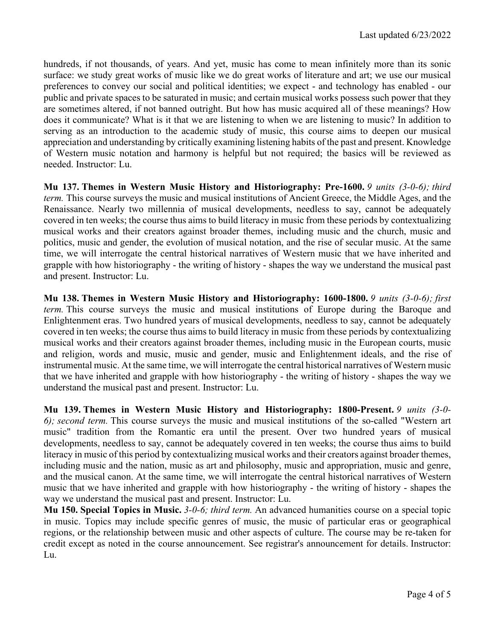hundreds, if not thousands, of years. And yet, music has come to mean infinitely more than its sonic surface: we study great works of music like we do great works of literature and art; we use our musical preferences to convey our social and political identities; we expect - and technology has enabled - our public and private spaces to be saturated in music; and certain musical works possess such power that they are sometimes altered, if not banned outright. But how has music acquired all of these meanings? How does it communicate? What is it that we are listening to when we are listening to music? In addition to serving as an introduction to the academic study of music, this course aims to deepen our musical appreciation and understanding by critically examining listening habits of the past and present. Knowledge of Western music notation and harmony is helpful but not required; the basics will be reviewed as needed. Instructor: Lu.

**Mu 137. Themes in Western Music History and Historiography: Pre-1600.** *9 units (3-0-6); third term.* This course surveys the music and musical institutions of Ancient Greece, the Middle Ages, and the Renaissance. Nearly two millennia of musical developments, needless to say, cannot be adequately covered in ten weeks; the course thus aims to build literacy in music from these periods by contextualizing musical works and their creators against broader themes, including music and the church, music and politics, music and gender, the evolution of musical notation, and the rise of secular music. At the same time, we will interrogate the central historical narratives of Western music that we have inherited and grapple with how historiography - the writing of history - shapes the way we understand the musical past and present. Instructor: Lu.

**Mu 138. Themes in Western Music History and Historiography: 1600-1800.** *9 units (3-0-6); first term.* This course surveys the music and musical institutions of Europe during the Baroque and Enlightenment eras. Two hundred years of musical developments, needless to say, cannot be adequately covered in ten weeks; the course thus aims to build literacy in music from these periods by contextualizing musical works and their creators against broader themes, including music in the European courts, music and religion, words and music, music and gender, music and Enlightenment ideals, and the rise of instrumental music. At the same time, we will interrogate the central historical narratives of Western music that we have inherited and grapple with how historiography - the writing of history - shapes the way we understand the musical past and present. Instructor: Lu.

**Mu 139. Themes in Western Music History and Historiography: 1800-Present.** *9 units (3-0- 6); second term.* This course surveys the music and musical institutions of the so-called "Western art music" tradition from the Romantic era until the present. Over two hundred years of musical developments, needless to say, cannot be adequately covered in ten weeks; the course thus aims to build literacy in music of this period by contextualizing musical works and their creators against broader themes, including music and the nation, music as art and philosophy, music and appropriation, music and genre, and the musical canon. At the same time, we will interrogate the central historical narratives of Western music that we have inherited and grapple with how historiography - the writing of history - shapes the way we understand the musical past and present. Instructor: Lu.

**Mu 150. Special Topics in Music.** *3-0-6; third term.* An advanced humanities course on a special topic in music. Topics may include specific genres of music, the music of particular eras or geographical regions, or the relationship between music and other aspects of culture. The course may be re-taken for credit except as noted in the course announcement. See registrar's announcement for details. Instructor: Lu.